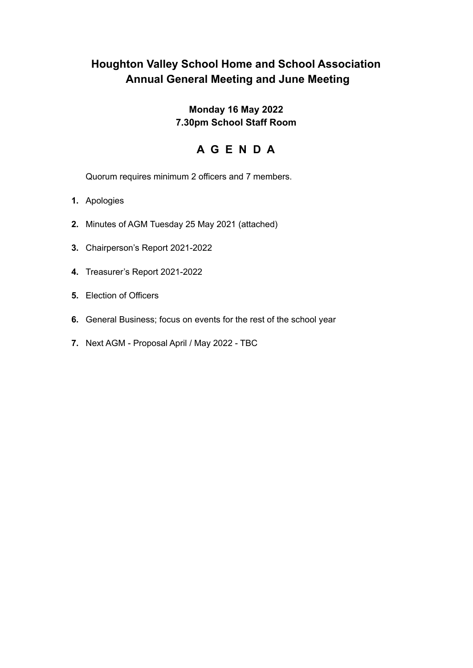# **Houghton Valley School Home and School Association Annual General Meeting and June Meeting**

## **Monday 16 May 2022 7.30pm School Staff Room**

# **A G E N D A**

Quorum requires minimum 2 officers and 7 members.

- **1.** Apologies
- **2.** Minutes of AGM Tuesday 25 May 2021 (attached)
- **3.** Chairperson's Report 2021-2022
- **4.** Treasurer's Report 2021-2022
- **5.** Election of Officers
- **6.** General Business; focus on events for the rest of the school year
- **7.** Next AGM Proposal April / May 2022 TBC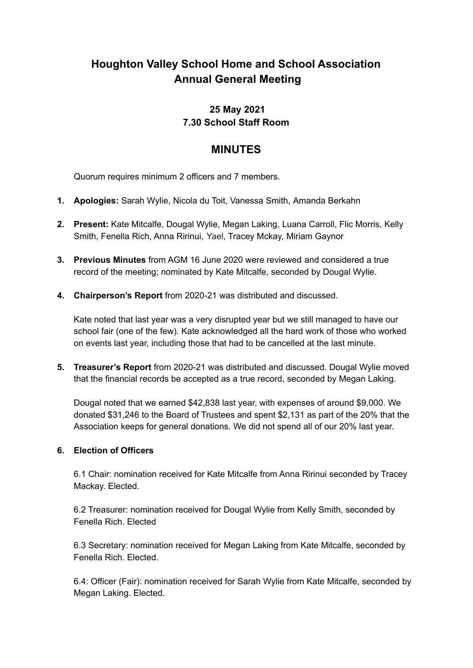# **Houghton Valley School Home and School Association Annual General Meeting**

## **25 May 2021 7.30 School Staff Room**

## **MINUTES**

Quorum requires minimum 2 officers and 7 members.

- **1. Apologies:** Sarah Wylie, Nicola du Toit, Vanessa Smith, Amanda Berkahn
- **2. Present:** Kate Mitcalfe, Dougal Wylie, Megan Laking, Luana Carroll, Flic Morris, Kelly Smith, Fenella Rich, Anna Ririnui, Yael, Tracey Mckay, Miriam Gaynor
- **3. Previous Minutes** from AGM 16 June 2020 were reviewed and considered a true record of the meeting; nominated by Kate Mitcalfe, seconded by Dougal Wylie.
- **4. Chairperson's Report** from 2020-21 was distributed and discussed.

Kate noted that last year was a very disrupted year but we still managed to have our school fair (one of the few). Kate acknowledged all the hard work of those who worked on events last year, including those that had to be cancelled at the last minute.

**5. Treasurer's Report** from 2020-21 was distributed and discussed. Dougal Wylie moved that the financial records be accepted as a true record, seconded by Megan Laking.

Dougal noted that we earned \$42,838 last year, with expenses of around \$9,000. We donated \$31,246 to the Board of Trustees and spent \$2,131 as part of the 20% that the Association keeps for general donations. We did not spend all of our 20% last year.

### **6. Election of Officers**

6.1 Chair: nomination received for Kate Mitcalfe from Anna Ririnui seconded by Tracey Mackay. Elected.

6.2 Treasurer: nomination received for Dougal Wylie from Kelly Smith, seconded by Fenella Rich. Elected

6.3 Secretary: nomination received for Megan Laking from Kate Mitcalfe, seconded by Fenella Rich. Elected.

6.4: Officer (Fair): nomination received for Sarah Wylie from Kate Mitcalfe, seconded by Megan Laking. Elected.